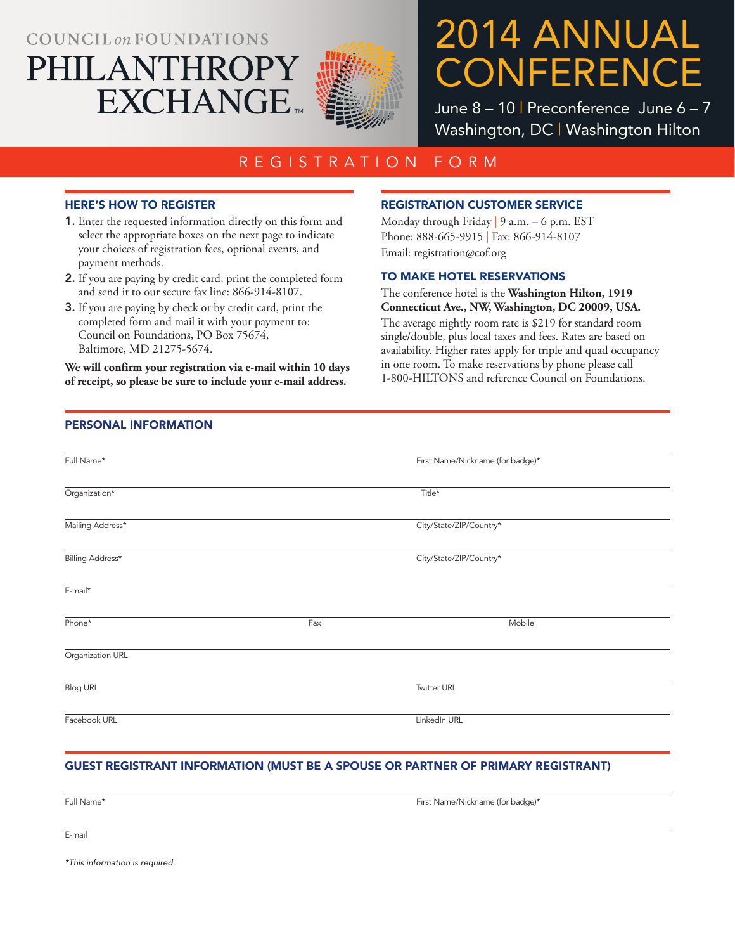## **COUNCIL on FOUNDATIONS** PHILANTHROPY **EXCHANGE**



# 2014 ANNUAL **CONFERENCE**

June 8 – 10 | Preconference June 6 – 7 Washington, DC | Washington Hilton

### REGISTRATION FORM

#### HERE'S HOW TO REGISTER

- 1. Enter the requested information directly on this form and select the appropriate boxes on the next page to indicate your choices of registration fees, optional events, and payment methods.
- 2. If you are paying by credit card, print the completed form and send it to our secure fax line: 866-914-8107.
- 3. If you are paying by check or by credit card, print the completed form and mail it with your payment to: Council on Foundations, PO Box 75674, Baltimore, MD 21275-5674.

**We will confirm your registration via e-mail within 10 days of receipt, so please be sure to include your e-mail address.** 

#### REGISTRATION CUSTOMER SERVICE

Monday through Friday | 9 a.m. – 6 p.m. EST Phone: 888-665-9915 | Fax: 866-914-8107 Email: registration@cof.org

#### TO MAKE HOTEL RESERVATIONS

#### The conference hotel is the **Washington Hilton, 1919 Connecticut Ave., NW, Washington, DC 20009, USA.**

The average nightly room rate is \$219 for standard room single/double, plus local taxes and fees. Rates are based on availability. Higher rates apply for triple and quad occupancy in one room. To make reservations by phone please call 1-800-HILTONS and reference Council on Foundations.

#### PERSONAL INFORMATION

| Full Name*       |     | First Name/Nickname (for badge)* |
|------------------|-----|----------------------------------|
| Organization*    |     | Title*                           |
| Mailing Address* |     | City/State/ZIP/Country*          |
| Billing Address* |     | City/State/ZIP/Country*          |
| E-mail*          |     |                                  |
| Phone*           | Fax | Mobile                           |
| Organization URL |     |                                  |
| <b>Blog URL</b>  |     | <b>Twitter URL</b>               |
| Facebook URL     |     | LinkedIn URL                     |

#### GUEST REGISTRANT INFORMATION (MUST BE A SPOUSE OR PARTNER OF PRIMARY REGISTRANT)

Full Name\* First Name/Nickname (for badge)\*

E-mail

*\*This information is required.*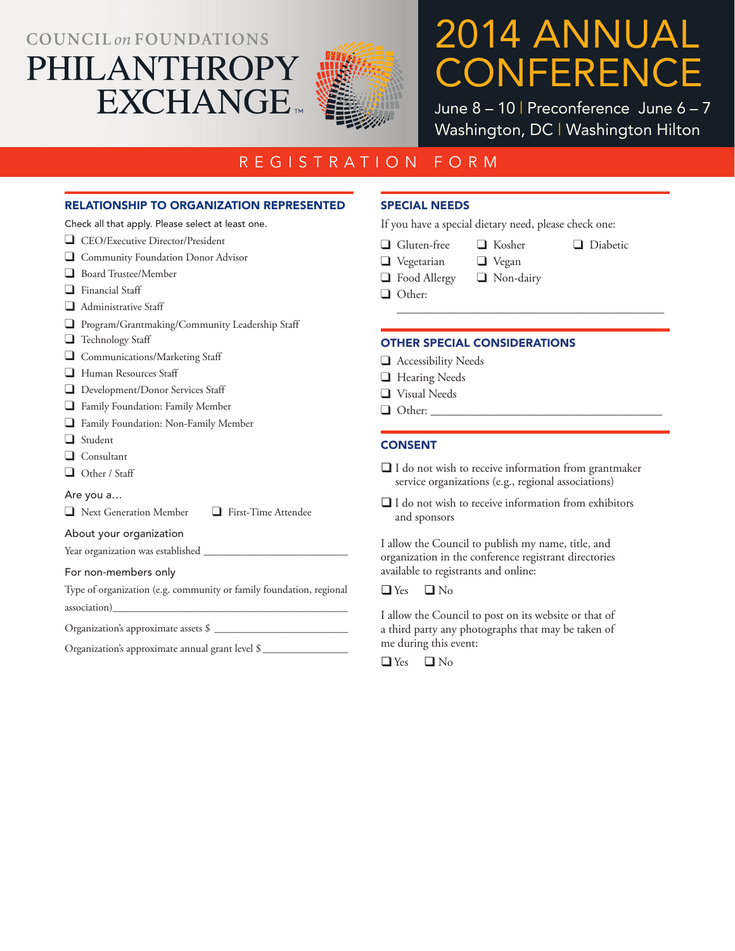### **COUNCIL on FOUNDATIONS**

PHILANTHROPY



# 2014 ANNUAL CONFERENCE

June 8 - 10 | Preconference June 6 - 7 Washington, DC | Washington Hilton

❑ Diabetic

### REGISTRATION FORM

#### RELATIONSHIP TO ORGANIZATION REPRESENTED

**EXCHANGE** 

Check all that apply. Please select at least one.

|  | CEO/Executive Director/President |
|--|----------------------------------|
|--|----------------------------------|

❑ Community Foundation Donor Advisor

- ❑ Board Trustee/Member
- ❑ Financial Staff
- Administrative Staff ❑
- ❑ Program/Grantmaking/Community Leadership Staff
- ❑ Technology Staff
- ❑ Communications/Marketing Staff
- ❑ Human Resources Staff
- □ Development/Donor Services Staff
- ❑ Family Foundation: Family Member
- ❑ Family Foundation: Non-Family Member
- ❑ Student
- ❑ Consultant
- ❑ Other / Staff

#### Are you a…

❑ Next Generation Member ❑ First-Time Attendee

#### About your organization

Year organization was established \_

#### For non-members only

Type of organization (e.g. community or family foundation, regional association)\_\_\_\_\_\_\_\_\_\_\_\_\_\_\_\_\_\_\_\_\_\_\_\_\_\_\_\_\_\_\_\_\_\_\_\_\_\_\_\_\_\_\_\_

Organization's approximate assets  $\$\_$ 

Organization's approximate annual grant level \$

#### SPECIAL NEEDS

If you have a special dietary need, please check one:

- ❑ Gluten-free
	- ❑ Kosher
		- ❑ Vegan

\_\_\_\_\_\_\_\_\_\_\_\_\_\_\_\_\_\_\_\_\_\_\_\_\_\_\_\_\_\_\_\_\_\_\_\_\_\_\_\_\_\_\_\_\_

- ❑ Food Allergy ❑ Non-dairy
- ❑ Other:

❑ Vegetarian

#### OTHER SPECIAL CONSIDERATIONS

- ❑ Accessibility Needs
- ❑ Hearing Needs
- ❑ Visual Needs
- $\Box$  Other:

#### **CONSENT**

- $\Box$  I do not wish to receive information from grantmaker service organizations (e.g., regional associations)
- $\Box$  I do not wish to receive information from exhibitors and sponsors

I allow the Council to publish my name, title, and organization in the conference registrant directories available to registrants and online:

 $\Box$  Yes  $\Box$  No

I allow the Council to post on its website or that of a third party any photographs that may be taken of me during this event: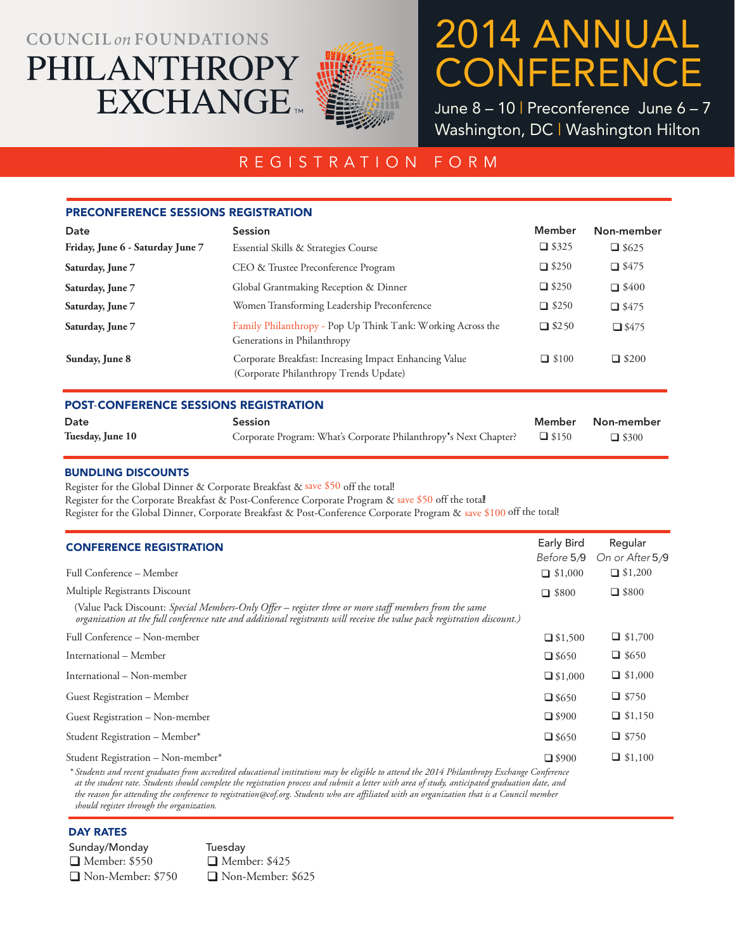## **COUNCIL on FOUNDATIONS** PHILANTHROPY **EXCHANGE**



# 2014 ANNUAL **CONFERENCE**

June 8 – 10 | Preconference June 6 – 7 Washington, DC | Washington Hilton

### REGISTRATION FORM

| <b>PRECONFERENCE SESSIONS REGISTRATION</b>   |                                                                                                  |              |              |
|----------------------------------------------|--------------------------------------------------------------------------------------------------|--------------|--------------|
| Date                                         | <b>Session</b>                                                                                   | Member       | Non-member   |
| Friday, June 6 - Saturday June 7             | Essential Skills & Strategies Course                                                             | $\Box$ \$325 | $\Box$ \$625 |
| Saturday, June 7                             | CEO & Trustee Preconference Program                                                              | $\Box$ \$250 | $\Box$ \$475 |
| Saturday, June 7                             | Global Grantmaking Reception & Dinner                                                            | $\Box$ \$250 | $\Box$ \$400 |
| Saturday, June 7                             | Women Transforming Leadership Preconference                                                      | $\Box$ \$250 | $\Box$ \$475 |
| Saturday, June 7                             | Family Philanthropy - Pop Up Think Tank: Working Across the<br>Generations in Philanthropy       | $\Box$ \$250 | $\Box$ \$475 |
| Sunday, June 8                               | Corporate Breakfast: Increasing Impact Enhancing Value<br>(Corporate Philanthropy Trends Update) | $\Box$ \$100 | $\Box$ \$200 |
| <b>POST-CONFERENCE SESSIONS REGISTRATION</b> |                                                                                                  |              |              |
| Date                                         | <b>Session</b>                                                                                   | Member       | Non-member   |

| Date             | <b>Session</b>                                                         | Member Non-member |
|------------------|------------------------------------------------------------------------|-------------------|
| Tuesday, June 10 | Corporate Program: What's Corporate Philanthropy's Next Chapter? 45150 | $\Box$ \$300      |

#### BUNDLING DISCOUNTS

Register for the Global Dinner & Corporate Breakfast & save \$50 off the total!

Register for the Corporate Breakfast & Post-Conference Corporate Program & save \$50 off the total

Register for the Global Dinner, Corporate Breakfast & Post-Conference Corporate Program & save \$100 off the total!

| <b>CONFERENCE REGISTRATION</b>                                                                                                                                                                                                   | <b>Early Bird</b><br>Before 5/9 | Regular<br>On or After 5/9 |
|----------------------------------------------------------------------------------------------------------------------------------------------------------------------------------------------------------------------------------|---------------------------------|----------------------------|
| Full Conference – Member                                                                                                                                                                                                         | $\Box$ \$1,000                  | $\Box$ \$1,200             |
| Multiple Registrants Discount                                                                                                                                                                                                    | $\Box$ \$800                    | $\Box$ \$800               |
| (Value Pack Discount: Special Members-Only Offer – register three or more staff members from the same<br>organization at the full conference rate and additional registrants will receive the value pack registration discount.) |                                 |                            |
| Full Conference – Non-member                                                                                                                                                                                                     | $\Box$ \$1,500                  | $\Box$ \$1,700             |
| International – Member                                                                                                                                                                                                           | $\Box$ \$650                    | $\Box$ \$650               |
| International – Non-member                                                                                                                                                                                                       | $\Box$ \$1,000                  | $\Box$ \$1,000             |
| Guest Registration – Member                                                                                                                                                                                                      | $\Box$ \$650                    | $\Box$ \$750               |
| Guest Registration – Non-member                                                                                                                                                                                                  | $\Box$ \$900                    | $\Box$ \$1,150             |
| Student Registration - Member*                                                                                                                                                                                                   | $\Box$ \$650                    | $\Box$ \$750               |
| Student Registration - Non-member*<br>* Students and recent graduates from accredited educational institutions may be eligible to attend the 2014 Philanthropy Exchange Conference                                               | $\Box$ \$900                    | $\Box$ \$1,100             |

*\* Students and recent graduates from accredited educational institutions may be eligible to attend the 2014 Philanthropy Exchange Conference at the student rate. Students should complete the registration process and submit a letter with area of study, anticipated graduation date, and the reason for attending the conference to registration@cof.org. Students who are affiliated with an organization that is a Council member should register through the organization.*

#### DAY RATES

Sunday/Monday Tuesday ■ Member: \$550 → Member: \$425 Non-Member: \$750 Non-Member: \$625